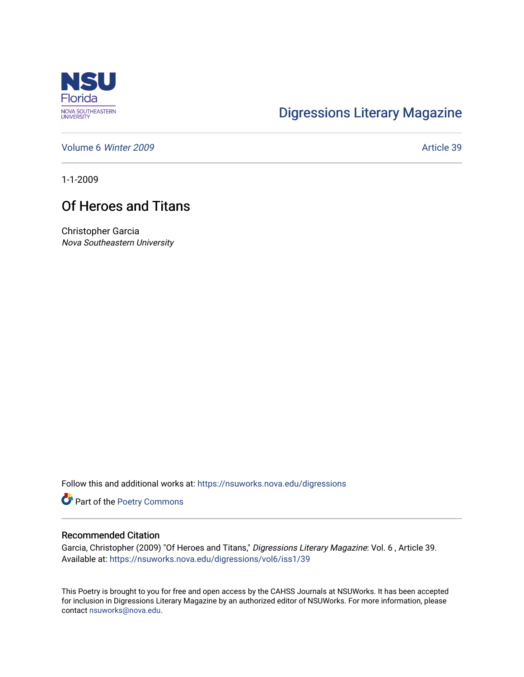

## [Digressions Literary Magazine](https://nsuworks.nova.edu/digressions)

[Volume 6](https://nsuworks.nova.edu/digressions/vol6) Winter 2009 **Article 39** 

1-1-2009

## Of Heroes and Titans

Christopher Garcia Nova Southeastern University

Follow this and additional works at: [https://nsuworks.nova.edu/digressions](https://nsuworks.nova.edu/digressions?utm_source=nsuworks.nova.edu%2Fdigressions%2Fvol6%2Fiss1%2F39&utm_medium=PDF&utm_campaign=PDFCoverPages) 

Part of the [Poetry Commons](http://network.bepress.com/hgg/discipline/1153?utm_source=nsuworks.nova.edu%2Fdigressions%2Fvol6%2Fiss1%2F39&utm_medium=PDF&utm_campaign=PDFCoverPages) 

## Recommended Citation

Garcia, Christopher (2009) "Of Heroes and Titans," Digressions Literary Magazine: Vol. 6, Article 39. Available at: [https://nsuworks.nova.edu/digressions/vol6/iss1/39](https://nsuworks.nova.edu/digressions/vol6/iss1/39?utm_source=nsuworks.nova.edu%2Fdigressions%2Fvol6%2Fiss1%2F39&utm_medium=PDF&utm_campaign=PDFCoverPages) 

This Poetry is brought to you for free and open access by the CAHSS Journals at NSUWorks. It has been accepted for inclusion in Digressions Literary Magazine by an authorized editor of NSUWorks. For more information, please contact [nsuworks@nova.edu.](mailto:nsuworks@nova.edu)